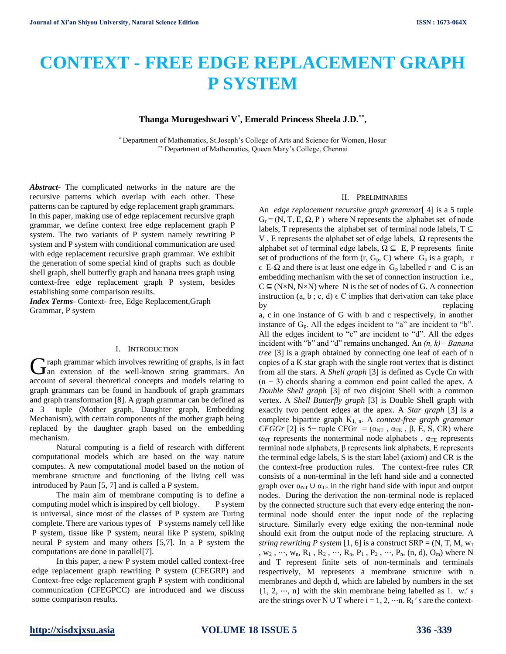# **CONTEXT - FREE EDGE REPLACEMENT GRAPH P SYSTEM**

# **Thanga Murugeshwari V\* , Emerald Princess Sheela J.D.\*\* ,**

\* Department of Mathematics, St.Joseph's College of Arts and Science for Women, Hosur \*\* Department of Mathematics, Queen Mary's College, Chennai

*Abstract***-** The complicated networks in the nature are the recursive patterns which overlap with each other. These patterns can be captured by edge replacement graph grammars. In this paper, making use of edge replacement recursive graph grammar, we define context free edge replacement graph P system. The two variants of P system namely rewriting P system and P system with conditional communication are used with edge replacement recursive graph grammar. We exhibit the generation of some special kind of graphs such as double shell graph, shell butterfly graph and banana trees graph using context-free edge replacement graph P system, besides establishing some comparison results.

*Index Terms*- Context- free, Edge Replacement,Graph Grammar, P system

## I. INTRODUCTION

raph grammar which involves rewriting of graphs, is in fact Graph grammar which involves rewriting of graphs, is in fact an extension of the well-known string grammars. An account of several theoretical concepts and models relating to graph grammars can be found in handbook of graph grammars and graph transformation [8]. A graph grammar can be defined as a 3 –tuple (Mother graph, Daughter graph, Embedding Mechanism), with certain components of the mother graph being replaced by the daughter graph based on the embedding mechanism.

Natural computing is a field of research with different computational models which are based on the way nature computes. A new computational model based on the notion of membrane structure and functioning of the living cell was introduced by Paun [5, 7] and is called a P system.

The main aim of membrane computing is to define a computing model which is inspired by cell biology. P system is universal, since most of the classes of P system are Turing complete. There are various types of P systems namely cell like P system, tissue like P system, neural like P system, spiking neural P system and many others [5,7]. In a P system the computations are done in parallel[7].

In this paper, a new P system model called context-free edge replacement graph rewriting P system (CFEGRP) and Context-free edge replacement graph P system with conditional communication (CFEGPCC) are introduced and we discuss some comparison results.

# II. PRELIMINARIES

An *edge replacement recursive graph grammar*[ 4] is a 5 tuple  $G_r = (N, T, E, \Omega, P)$  where N represents the alphabet set of node labels, T represents the alphabet set of terminal node labels,  $T \subseteq$ V, E represents the alphabet set of edge labels,  $\Omega$  represents the alphabet set of terminal edge labels,  $\Omega \subseteq E$ , P represents finite set of productions of the form  $(r, G_p, C)$  where  $G_p$  is a graph, r  $\epsilon$  E- $\Omega$  and there is at least one edge in G<sub>p</sub> labelled r and C is an embedding mechanism with the set of connection instruction i.e.,  $C \subseteq (N \times N, N \times N)$  where N is the set of nodes of G. A connection instruction (a, b; c, d)  $\in$  C implies that derivation can take place by replacing the replacing replacing

a, c in one instance of G with b and c respectively, in another instance of  $G_p$ . All the edges incident to "a" are incident to "b". All the edges incident to "c" are incident to "d". All the edges incident with "b" and "d" remains unchanged. An *(n, k)− Banana tree* [3] is a graph obtained by connecting one leaf of each of n copies of a K star graph with the single root vertex that is distinct from all the stars. A *Shell graph* [3] is defined as Cycle Cn with  $(n - 3)$  chords sharing a common end point called the apex. A *Double Shell graph* [3] of two disjoint Shell with a common vertex. A *Shell Butterfly graph* [3] is Double Shell graph with exactly two pendent edges at the apex. A *Star graph* [3] is a complete bipartite graph K1, n. A *context-free graph grammar CFGGr* [2] is 5− tuple CFGr =  $(\alpha_{NT}, \alpha_{TE}, \beta, E, S, CR)$  where  $\alpha_{\text{NT}}$  represents the nonterminal node alphabets,  $\alpha_{\text{TE}}$  represents terminal node alphabets, β represents link alphabets, E represents the terminal edge labels, S is the start label (axiom) and CR is the the context-free production rules. The context-free rules CR consists of a non-terminal in the left hand side and a connected graph over  $\alpha_{\text{NT}} \cup \alpha_{\text{TE}}$  in the right hand side with input and output nodes. During the derivation the non-terminal node is replaced by the connected structure such that every edge entering the nonterminal node should enter the input node of the replacing structure. Similarly every edge exiting the non-terminal node should exit from the output node of the replacing structure. A *string rewriting P system* [1, 6] is a construct  $SRP = (N, T, M, w_1)$ ,  $w_2$ , …,  $w_n$ ,  $R_1$ ,  $R_2$ , …,  $R_n$ ,  $P_1$ ,  $P_2$ , …,  $P_n$ ,  $(n, d)$ ,  $O_m$ ) where N and T represent finite sets of non-terminals and terminals respectively, M represents a membrane structure with n membranes and depth d, which are labeled by numbers in the set  $\{1, 2, \dots, n\}$  with the skin membrane being labelled as 1. w<sub>i</sub>' s are the strings over N ∪ T where  $i = 1, 2, \dots n$ . R<sub>i</sub>'s are the context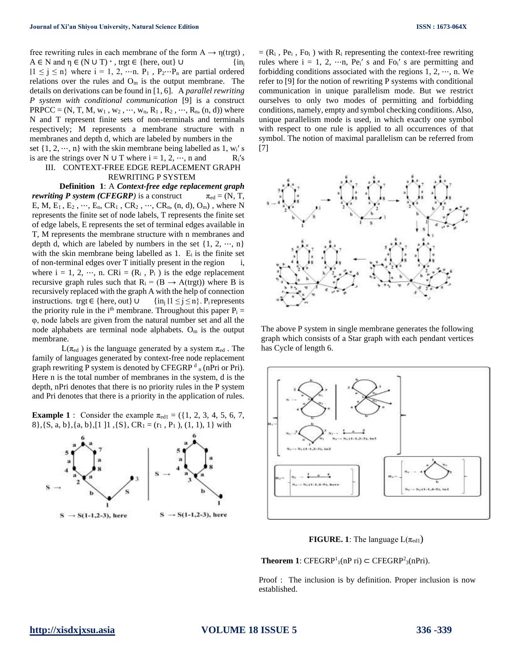free rewriting rules in each membrane of the form  $A \rightarrow \eta(t$ rgt),  $A \in N$  and  $\eta \in (N \cup T)^*$ , trgt  $\in \{here, out\} \cup \{in_j\}$  $|1 \le j \le n\}$  where  $i = 1, 2, \dots n$ .  $P_1$ ,  $P_2 \dots P_n$  are partial ordered relations over the rules and  $O<sub>m</sub>$  is the output membrane. The details on derivations can be found in [1, 6]. A *parallel rewriting P system with conditional communication* [9] is a construct PRPCC = (N, T, M,  $w_1$ ,  $w_2$ , …,  $w_n$ ,  $R_1$ ,  $R_2$ , …,  $R_n$ ,  $(n, d)$ ) where N and T represent finite sets of non-terminals and terminals respectively; M represents a membrane structure with n membranes and depth d, which are labeled by numbers in the

set  $\{1, 2, \dots, n\}$  with the skin membrane being labelled as 1, w<sub>i</sub>'s is are the strings over N ∪ T where  $i = 1, 2, \dots$ , n and R<sub>i</sub>'s III. CONTEXT-FREE EDGE REPLACEMENT GRAPH

#### REWRITING P SYSTEM

**Definition 1**: A *Context-free edge replacement graph rewriting P system (CFEGRP)* is a construct  $\pi_{\text{ed}} = (N, T, T)$ E, M, E<sub>1</sub>, E<sub>2</sub>, …, E<sub>n</sub>, CR<sub>1</sub>, CR<sub>2</sub>, …, CR<sub>n</sub>, (n, d), O<sub>m</sub>), where N represents the finite set of node labels, T represents the finite set of edge labels, E represents the set of terminal edges available in T, M represents the membrane structure with n membranes and depth d, which are labeled by numbers in the set  $\{1, 2, \dots, n\}$ with the skin membrane being labelled as  $1$ .  $E_i$  is the finite set of non-terminal edges over T initially present in the region i, where  $i = 1, 2, \dots$ , n. CRi =  $(R_i, P_i)$  is the edge replacement recursive graph rules such that  $R_i = (B \rightarrow A(trgt))$  where B is recursively replaced with the graph A with the help of connection instructions. trgt ∈ {here, out} ∪ {in<sub>i</sub> |1 ≤ j ≤ n}. P<sub>i</sub> represents the priority rule in the i<sup>th</sup> membrane. Throughout this paper  $P_i =$ φ, node labels are given from the natural number set and all the node alphabets are terminal node alphabets. O<sup>m</sup> is the output membrane.

 $L(\pi_{ed})$  is the language generated by a system  $\pi_{ed}$ . The family of languages generated by context-free node replacement graph rewriting P system is denoted by CFEGRP  $d_n$  (nPri or Pri). Here n is the total number of membranes in the system, d is the depth, nPri denotes that there is no priority rules in the P system and Pri denotes that there is a priority in the application of rules.

**Example 1** : Consider the example  $\pi_{\text{ed1}} = (\{1, 2, 3, 4, 5, 6, 7,$ 8}, {S, a, b}, {a, b}, [1 ]1, {S}, CR<sub>1</sub> = (r<sub>1</sub>, P<sub>1</sub>), (1, 1), 1} with



 $= (R_i, Pe_i, Fo_i)$  with  $R_i$  representing the context-free rewriting rules where  $i = 1, 2, \dots, Pe_i$  s and  $Fo_i$  s are permitting and forbidding conditions associated with the regions  $1, 2, \dots$ , n. We refer to [9] for the notion of rewriting P systems with conditional communication in unique parallelism mode. But we restrict ourselves to only two modes of permitting and forbidding conditions, namely, empty and symbol checking conditions. Also, unique parallelism mode is used, in which exactly one symbol with respect to one rule is applied to all occurrences of that symbol. The notion of maximal parallelism can be referred from [7]



The above P system in single membrane generates the following graph which consists of a Star graph with each pendant vertices has Cycle of length 6.



**FIGURE.** 1: The language  $L(\pi_{\text{ed}1})$ 

**Theorem 1**: CFEGRP<sup>1</sup><sub>1</sub>(nP ri) ⊂ CFEGRP<sup>2</sup><sub>3</sub>(nPri).

Proof : The inclusion is by definition. Proper inclusion is now established.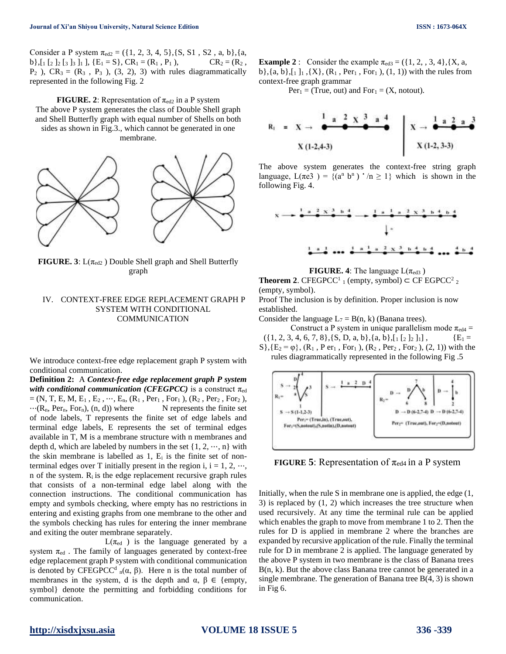Consider a P system  $\pi_{\text{ed2}} = (\{1, 2, 3, 4, 5\}, \{S, S1, S2, a, b\}, \{a,$ b},[1 [2 ]2 [3 ]3 ]1 ], {E<sub>1</sub> = S}, CR<sub>1</sub> = (R<sub>1</sub>, P<sub>1</sub>), CR<sub>2</sub> = (R<sub>2</sub>,  $P_2$ ),  $CR_3 = (R_3, P_3)$ ,  $(3, 2)$ , 3) with rules diagrammatically represented in the following Fig. 2

**FIGURE. 2**: Representation of  $\pi_{\text{ed2}}$  in a P system The above P system generates the class of Double Shell graph and Shell Butterfly graph with equal number of Shells on both sides as shown in Fig.3., which cannot be generated in one membrane.



**FIGURE.** 3:  $L(\pi_{\text{ed}2})$  Double Shell graph and Shell Butterfly graph

# IV. CONTEXT-FREE EDGE REPLACEMENT GRAPH P SYSTEM WITH CONDITIONAL COMMUNICATION

We introduce context-free edge replacement graph P system with conditional communication.

**Definition 2:** A *Context-free edge replacement graph P system with conditional communication (CFEGPCC)* is a construct  $\pi_{ed}$  $= (N, T, E, M, E_1, E_2, \cdots, E_n, (R_1, Per_1, For_1), (R_2, Per_2, For_2),$  $\cdots$ (R<sub>n</sub>, Per<sub>n</sub>, For<sub>n</sub>), (n, d)) where N represents the finite set of node labels, T represents the finite set of edge labels and terminal edge labels, E represents the set of terminal edges available in T, M is a membrane structure with n membranes and depth d, which are labeled by numbers in the set  $\{1, 2, \dots, n\}$  with the skin membrane is labelled as  $1$ ,  $E_i$  is the finite set of nonterminal edges over T initially present in the region i,  $i = 1, 2, \dots$ , n of the system.  $R_i$  is the edge replacement recursive graph rules that consists of a non-terminal edge label along with the connection instructions. The conditional communication has empty and symbols checking, where empty has no restrictions in entering and existing graphs from one membrane to the other and the symbols checking has rules for entering the inner membrane and exiting the outer membrane separately.

 $L(\pi_{ed}$  ) is the language generated by a system  $\pi_{ed}$ . The family of languages generated by context-free edge replacement graph P system with conditional communication is denoted by CFEGPCC<sup>d</sup>  $_n(\alpha, \beta)$ . Here n is the total number of membranes in the system, d is the depth and  $\alpha$ ,  $\beta \in \{\text{empty},\}$ symbol} denote the permitting and forbidding conditions for communication.

**Example 2** : Consider the example  $\pi_{\text{ed3}} = (\{1, 2, 3, 4\}, \{X, a, \}$  $b$ }, {a, b}, [1]<sub>1</sub>, {X}, (R<sub>1</sub>, Per<sub>1</sub>, For<sub>1</sub>), (1, 1)) with the rules from context-free graph grammar

 $Per_1 = (True, out)$  and  $For_1 = (X, not out).$ 

The above system generates the context-free string graph language,  $L(\pi e3) = \{(a^n b^n) : n \ge 1\}$  which is shown in the following Fig. 4.



**FIGURE. 4**: The language  $L(\pi_{ed3})$ 

**Theorem 2.** CFEGPCC<sup>1</sup> <sub>1</sub> (empty, symbol) ⊂ CF EGPCC<sup>2</sup> <sub>2</sub> (empty, symbol).

Proof The inclusion is by definition. Proper inclusion is now established.

Consider the language  $L_7 = B(n, k)$  (Banana trees).

Construct a P system in unique parallelism mode  $\pi_{\text{ed4}} =$  $({1, 2, 3, 4, 6, 7, 8}, {S, D, a, b}, {a, b}, [1 [2]2]1],$   ${E_1 =$  $S$ }, {E<sub>2</sub> =  $\varphi$ }, (R<sub>1</sub>, P er<sub>1</sub>, For<sub>1</sub>), (R<sub>2</sub>, Per<sub>2</sub>, For<sub>2</sub>), (2, 1)) with the

rules diagrammatically represented in the following Fig .5



**FIGURE 5:** Representation of  $\pi_{\text{ed}}$  in a P system

Initially, when the rule S in membrane one is applied, the edge (1, 3) is replaced by (1, 2) which increases the tree structure when used recursively. At any time the terminal rule can be applied which enables the graph to move from membrane 1 to 2. Then the rules for D is applied in membrane 2 where the branches are expanded by recursive application of the rule. Finally the terminal rule for D in membrane 2 is applied. The language generated by the above P system in two membrane is the class of Banana trees B(n, k). But the above class Banana tree cannot be generated in a single membrane. The generation of Banana tree  $B(4, 3)$  is shown in Fig 6.